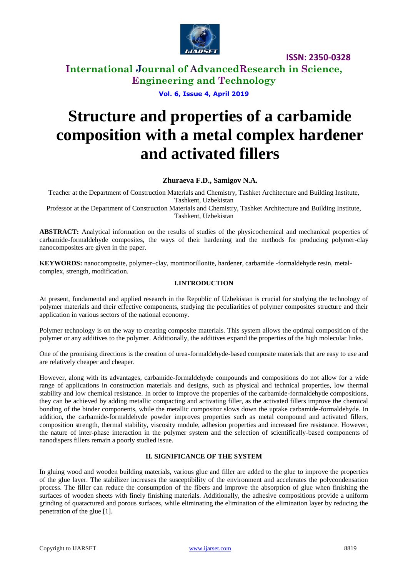

### **International Journal of AdvancedResearch in Science, Engineering and Technology**

**Vol. 6, Issue 4, April 2019**

# **Structure and properties of a carbamide composition with a metal complex hardener and activated fillers**

**Zhuraeva F.D., Samigov N.A.**

Teacher at the Department of Construction Materials and Chemistry, Tashket Architecture and Building Institute, Tashkent, Uzbekistan

Professor at the Department of Construction Materials and Chemistry, Tashket Architecture and Building Institute, Tashkent, Uzbekistan

**ABSTRACT:** Analytical information on the results of studies of the physicochemical and mechanical properties of carbamide-formaldehyde composites, the ways of their hardening and the methods for producing polymer-clay nanocomposites are given in the paper.

**KEYWORDS:** nanocomposite, polymer–clay, montmorillonite, hardener, carbamide -formaldehyde resin, metalcomplex, strength, modification.

### **I.INTRODUCTION**

At present, fundamental and applied research in the Republic of Uzbekistan is crucial for studying the technology of polymer materials and their effective components, studying the peculiarities of polymer composites structure and their application in various sectors of the national economy.

Polymer technology is on the way to creating composite materials. This system allows the optimal composition of the polymer or any additives to the polymer. Additionally, the additives expand the properties of the high molecular links.

One of the promising directions is the creation of urea-formaldehyde-based composite materials that are easy to use and are relatively cheaper and cheaper.

However, along with its advantages, carbamide-formaldehyde compounds and compositions do not allow for a wide range of applications in construction materials and designs, such as physical and technical properties, low thermal stability and low chemical resistance. In order to improve the properties of the carbamide-formaldehyde compositions, they can be achieved by adding metallic compacting and activating filler, as the activated fillers improve the chemical bonding of the binder components, while the metallic compositor slows down the uptake carbamide-formaldehyde. In addition, the carbamide-formaldehyde powder improves properties such as metal compound and activated fillers, composition strength, thermal stability, viscosity module, adhesion properties and increased fire resistance. However, the nature of inter-phase interaction in the polymer system and the selection of scientifically-based components of nanodispers fillers remain a poorly studied issue.

### **II. SIGNIFICANCE OF THE SYSTEM**

In gluing wood and wooden building materials, various glue and filler are added to the glue to improve the properties of the glue layer. The stabilizer increases the susceptibility of the environment and accelerates the polycondensation process. The filler can reduce the consumption of the fibers and improve the absorption of glue when finishing the surfaces of wooden sheets with finely finishing materials. Additionally, the adhesive compositions provide a uniform grinding of quatactured and porous surfaces, while eliminating the elimination of the elimination layer by reducing the penetration of the glue [1].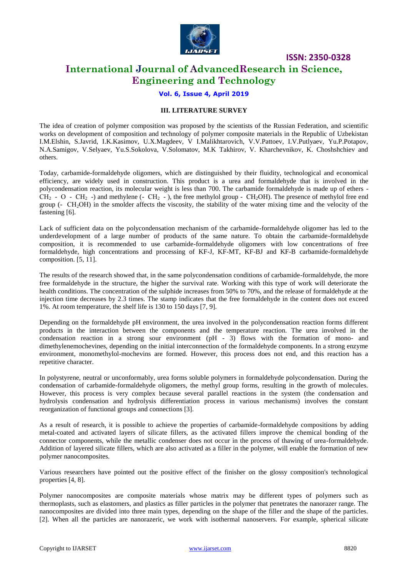

### **International Journal of AdvancedResearch in Science, Engineering and Technology**

### **Vol. 6, Issue 4, April 2019**

### **III. LITERATURE SURVEY**

The idea of creation of polymer composition was proposed by the scientists of the Russian Federation, and scientific works on development of composition and technology of polymer composite materials in the Republic of Uzbekistan I.M.Elshin, S.Javrid, I.K.Kasimov, U.X.Magdeev, V I.Malikhtarovich, V.V.Pattoev, I.V.Putlyaev, Yu.P.Potapov, N.A.Samigov, V.Selyaev, Yu.S.Sokolova, V.Solomatov, M.K Takhirov, V. Kharchevnikov, K. Choshshchiev and others.

Today, carbamide-formaldehyde oligomers, which are distinguished by their fluidity, technological and economical efficiency, are widely used in construction. This product is a urea and formaldehyde that is involved in the polycondensation reaction, its molecular weight is less than 700. The carbamide formaldehyde is made up of ethers -  $CH_2$  - O -  $CH_2$  -) and methylene (-  $CH_2$  -), the free methylol group -  $CH_2OH$ ). The presence of methylol free end group (-  $CH<sub>2</sub>OH$ ) in the smolder affects the viscosity, the stability of the water mixing time and the velocity of the fastening [6].

Lack of sufficient data on the polycondensation mechanism of the carbamide-formaldehyde oligomer has led to the underdevelopment of a large number of products of the same nature. To obtain the carbamide-formaldehyde composition, it is recommended to use carbamide-formaldehyde oligomers with low concentrations of free formaldehyde, high concentrations and processing of KF-J, KF-MT, KF-BJ and KF-B carbamide-formaldehyde composition. [5, 11].

The results of the research showed that, in the same polycondensation conditions of carbamide-formaldehyde, the more free formaldehyde in the structure, the higher the survival rate. Working with this type of work will deteriorate the health conditions. The concentration of the sulphide increases from 50% to 70%, and the release of formaldehyde at the injection time decreases by 2.3 times. The stamp indicates that the free formaldehyde in the content does not exceed 1%. At room temperature, the shelf life is 130 to 150 days [7, 9].

Depending on the formaldehyde pH environment, the urea involved in the polycondensation reaction forms different products in the interaction between the components and the temperature reaction. The urea involved in the condensation reaction in a strong sour environment (pH - 3) flows with the formation of mono- and dimethylenemochevines, depending on the initial interconnection of the formaldehyde components. In a strong enzyme environment, monomethylol-mochevins are formed. However, this process does not end, and this reaction has a repetitive character.

In polystyrene, neutral or unconformably, urea forms soluble polymers in formaldehyde polycondensation. During the condensation of carbamide-formaldehyde oligomers, the methyl group forms, resulting in the growth of molecules. However, this process is very complex because several parallel reactions in the system (the condensation and hydrolysis condensation and hydrolysis differentiation process in various mechanisms) involves the constant reorganization of functional groups and connections [3].

As a result of research, it is possible to achieve the properties of carbamide-formaldehyde compositions by adding metal-coated and activated layers of silicate fillers, as the activated fillers improve the chemical bonding of the connector components, while the metallic condenser does not occur in the process of thawing of urea-formaldehyde. Addition of layered silicate fillers, which are also activated as a filler in the polymer, will enable the formation of new polymer nanocomposites.

Various researchers have pointed out the positive effect of the finisher on the glossy composition's technological properties [4, 8].

Polymer nanocomposites are composite materials whose matrix may be different types of polymers such as thermoplasts, such as elastomers, and plastics as filler particles in the polymer that penetrates the nanorazer range. The nanocomposites are divided into three main types, depending on the shape of the filler and the shape of the particles. [2]. When all the particles are nanorazeric, we work with isothermal nanoservers. For example, spherical silicate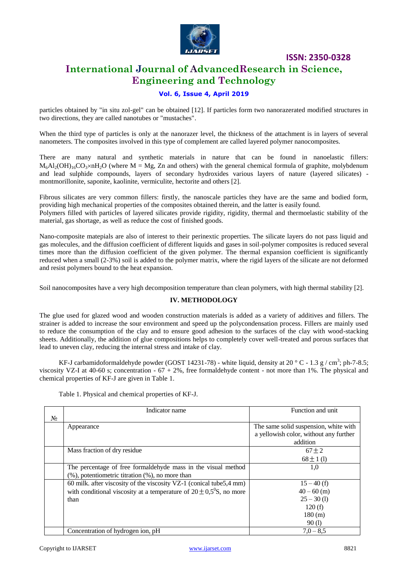

### **International Journal of AdvancedResearch in Science, Engineering and Technology**

### **Vol. 6, Issue 4, April 2019**

particles obtained by "in situ zol-gel" can be obtained [12]. If particles form two nanorazerated modified structures in two directions, they are called nanotubes or "mustaches".

When the third type of particles is only at the nanorazer level, the thickness of the attachment is in layers of several nanometers. The composites involved in this type of complement are called layered polymer nanocomposites.

There are many natural and synthetic materials in nature that can be found in nanoelastic fillers:  $M_6A_2(OH)_{16}CO_3\times nH_2O$  (where M = Mg, Zn and others) with the general chemical formula of graphite, molybdenum and lead sulphide compounds, layers of secondary hydroxides various layers of nature (layered silicates) montmorillonite, saponite, kaolinite, vermiculite, hectorite and others [2].

Fibrous silicates are very common fillers: firstly, the nanoscale particles they have are the same and bodied form, providing high mechanical properties of the composites obtained therein, and the latter is easily found.

Polymers filled with particles of layered silicates provide rigidity, rigidity, thermal and thermoelastic stability of the material, gas shortage, as well as reduce the cost of finished goods.

Nano-composite matepials are also of interest to their perinextic properties. The silicate layers do not pass liquid and gas molecules, and the diffusion coefficient of different liquids and gases in soil-polymer composites is reduced several times more than the diffusion coefficient of the given polymer. The thermal expansion coefficient is significantly reduced when a small (2-3%) soil is added to the polymer matrix, where the rigid layers of the silicate are not deformed and resist polymers bound to the heat expansion.

Soil nanocomposites have a very high decomposition temperature than clean polymers, with high thermal stability [2].

#### **IV. METHODOLOGY**

The glue used for glazed wood and wooden construction materials is added as a variety of additives and fillers. The strainer is added to increase the sour environment and speed up the polycondensation process. Fillers are mainly used to reduce the consumption of the clay and to ensure good adhesion to the surfaces of the clay with wood-stacking sheets. Additionally, the addition of glue compositions helps to completely cover well-treated and porous surfaces that lead to uneven clay, reducing the internal stress and intake of clay.

KF-J carbamidoformaldehyde powder (GOST 14231-78) - white liquid, density at 20  $^{\circ}$  C - 1.3 g / cm<sup>3</sup>; ph-7-8.5; viscosity VZ-I at 40-60 s; concentration  $-67 + 2\%$ , free formaldehyde content - not more than 1%. The physical and chemical properties of KF-J are given in Table 1.

Table 1. Physical and chemical properties of KF-J.

|       | Indicator name                                                           | Function and unit                      |
|-------|--------------------------------------------------------------------------|----------------------------------------|
| $N_2$ |                                                                          |                                        |
|       | Appearance                                                               | The same solid suspension, white with  |
|       |                                                                          | a yellowish color, without any further |
|       |                                                                          | addition                               |
|       | Mass fraction of dry residue                                             | $67 \pm 2$                             |
|       |                                                                          | $68 \pm 1$ (1)                         |
|       | The percentage of free formal dehyde mass in the visual method           | 1,0                                    |
|       | $(\%)$ , potentiometric titration $(\%)$ , no more than                  |                                        |
|       | 60 milk. after viscosity of the viscosity VZ-1 (conical tube 5,4 mm)     | $15 - 40$ (f)                          |
|       | with conditional viscosity at a temperature of $20 \pm 0.5^0$ S, no more | $40 - 60$ (m)                          |
|       | than                                                                     | $25 - 30(1)$                           |
|       |                                                                          | 120(f)                                 |
|       |                                                                          | 180 (m)                                |
|       |                                                                          | 90(1)                                  |
|       | Concentration of hydrogen ion, pH                                        | $7.0 - 8.5$                            |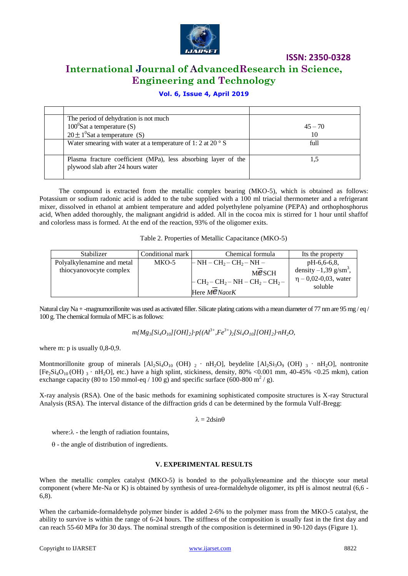

### **International Journal of AdvancedResearch in Science, Engineering and Technology**

### **Vol. 6, Issue 4, April 2019**

| The period of dehydration is not much                                                               |           |
|-----------------------------------------------------------------------------------------------------|-----------|
| $100^{\circ}$ Sat a temperature (S)                                                                 | $45 - 70$ |
| $20 \pm 1^0$ Sat a temperature (S)                                                                  | 10        |
| Water smearing with water at a temperature of 1: 2 at 20 $\degree$ S                                | full      |
| Plasma fracture coefficient (MPa), less absorbing layer of the<br>plywood slab after 24 hours water |           |

The compound is extracted from the metallic complex bearing (MKO-5), which is obtained as follows: Potassium or sodium radonic acid is added to the tube supplied with a 100 ml triacial thermometer and a refrigerant mixer, dissolved in ethanol at ambient temperature and added polyethylene polyamine (PEPA) and orthophosphorus acid, When added thoroughly, the malignant angidrid is added. All in the cocoa mix is stirred for 1 hour until shaffof and colorless mass is formed. At the end of the reaction, 93% of the oligomer exits.

Table 2. Properties of Metallic Capacitance (MKO-5)

| Stabilizer                 | Conditional mark | Chemical formula                                          | Its the property                                                            |
|----------------------------|------------------|-----------------------------------------------------------|-----------------------------------------------------------------------------|
| Polyalkylenamine and metal | MKO-5            | $\vdash$ NH – CH <sub>2</sub> – CH <sub>2</sub> – NH –    | $pH-6,6-6,8$                                                                |
| thiocyanovocyte complex    |                  | MESCH<br>$-CH_2-CH_2-NH-CH_2-CH_2-$<br>Here $M\ell$ NaorK | density $-1,39$ g/sm <sup>3</sup> ,<br>$\eta$ – 0,02-0,03, water<br>soluble |

Natural clay Na + -magnumorillonite was used as activated filler. Silicate plating cations with a mean diameter of 77 nm are 95 mg/eq/ 100 g. The chemical formula of MFC is as follows:

*m{Mg3[Si4O10][OH]2}·p{(Al3+,Fe3+)2[Si4O10][OH]2}·nH2O*,

where m: p is usually 0,8-0,9.

Montmorillonite group of minerals  $[A]_2Si_4O_{10}$  (OH)  $_2 \cdot nH_2O$ , beydelite  $[A]_2Si_3O_9$  (OH)  $_3 \cdot nH_2O$ , nontronite  $[Fe_2Si_4O_{10} (OH)_{3} \cdot nH_2O]$ , etc.) have a high splint, stickiness, density, 80% <0.001 mm, 40-45% <0.25 mkm), cation exchange capacity (80 to 150 mmol-eq / 100 g) and specific surface (600-800 m<sup>2</sup> / g).

X-ray analysis (RSA). One of the basic methods for examining sophisticated composite structures is X-ray Structural Analysis (RSA). The interval distance of the diffraction grids d can be determined by the formula Vulf-Bregg:

 $\lambda = 2d\sin\theta$ 

where: $\lambda$  - the length of radiation fountains,

 $\theta$  - the angle of distribution of ingredients.

#### **V. EXPERIMENTAL RESULTS**

When the metallic complex catalyst (MKO-5) is bonded to the polyalkyleneamine and the thiocyte sour metal component (where Me-Na or K) is obtained by synthesis of urea-formaldehyde oligomer, its pH is almost neutral (6,6 - 6,8).

When the carbamide-formaldehyde polymer binder is added 2-6% to the polymer mass from the MKO-5 catalyst, the ability to survive is within the range of 6-24 hours. The stiffness of the composition is usually fast in the first day and can reach 55-60 MPa for 30 days. The nominal strength of the composition is determined in 90-120 days (Figure 1).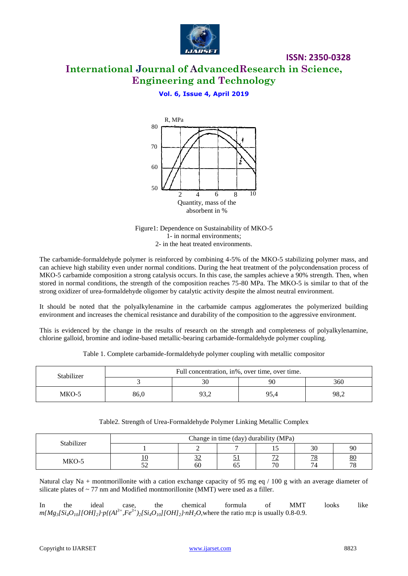

# **International Journal of AdvancedResearch in Science, Engineering and Technology**

**ISSN: 2350-0328**

### **Vol. 6, Issue 4, April 2019**





The carbamide-formaldehyde polymer is reinforced by combining 4-5% of the MKO-5 stabilizing polymer mass, and can achieve high stability even under normal conditions. During the heat treatment of the polycondensation process of MKO-5 carbamide composition a strong catalysis occurs. In this case, the samples achieve a 90% strength. Then, when stored in normal conditions, the strength of the composition reaches 75-80 MPa. The MKO-5 is similar to that of the strong oxidizer of urea-formaldehyde oligomer by catalytic activity despite the almost neutral environment.

It should be noted that the polyalkylenamine in the carbamide campus agglomerates the polymerized building environment and increases the chemical resistance and durability of the composition to the aggressive environment.

This is evidenced by the change in the results of research on the strength and completeness of polyalkylenamine, chlorine galloid, bromine and iodine-based metallic-bearing carbamide-formaldehyde polymer coupling.

| Stabilizer | Full concentration, in%, over time, over time. |      |      |      |
|------------|------------------------------------------------|------|------|------|
|            |                                                | 30   | 90   | 360  |
| MKO-5      | 86,0                                           | 93,2 | 95,4 | 98,2 |

Table 1. Complete carbamide-formaldehyde polymer coupling with metallic compositor

| Table2. Strength of Urea-Formaldehyde Polymer Linking Metallic Complex |  |  |  |
|------------------------------------------------------------------------|--|--|--|
|------------------------------------------------------------------------|--|--|--|

| Stabilizer | Change in time (day) durability (MPa) |                           |                   |                                |                                   |          |
|------------|---------------------------------------|---------------------------|-------------------|--------------------------------|-----------------------------------|----------|
|            |                                       |                           |                   |                                | 30                                | 90       |
| MKO-5      | ے ر                                   | $\sim$<br><u>24</u><br>60 | <u>ຸບ 1</u><br>O. | $\overline{\phantom{a}}$<br>70 | $\neg$ $\circ$<br><u> 10</u><br>4 | 80<br>70 |

Natural clay Na + montmorillonite with a cation exchange capacity of 95 mg eq  $/ 100$  g with an average diameter of silicate plates of  $\sim$  77 nm and Modified montmorillonite (MMT) were used as a filler.

In the ideal case, the chemical formula of MMT looks like  $m[Mg_3[Si_4O_{10}][OH]_2] \cdot p[(Al^{3+},Fe^{3+})_2[Si_4O_{10}][OH]_2] \cdot nH_2O$ , where the ratio m:p is usually 0.8-0.9.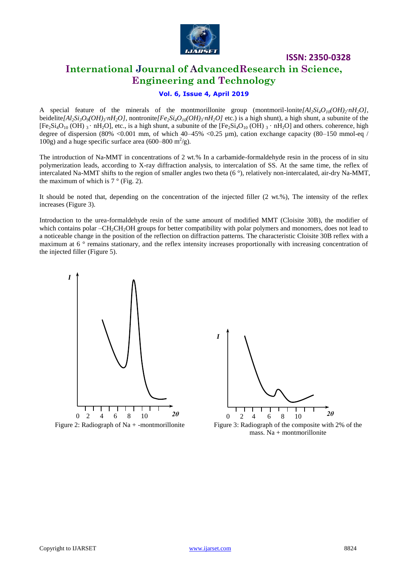

### **International Journal of AdvancedResearch in Science, Engineering and Technology**

### **Vol. 6, Issue 4, April 2019**

A special feature of the minerals of the montmorillonite group (montmoril-lonite $[A_2Si_4O_{10}(OH)_2 \cdot nH_2O]$ ), beidelite[ $Al_2Si_3O_9(OH)_3 \cdot nH_2O$ ], nontronite[ $Fe_2Si_4O_{10}(OH)_3 \cdot nH_2O$ ] etc.) is a high shunt), a high shunt, a subunite of the  $[Fe<sub>2</sub>Si<sub>4</sub>O<sub>10</sub> (OH)<sub>3</sub> · hH<sub>2</sub>O]$ , etc., is a high shunt, a subunite of the  $[Fe<sub>2</sub>Si<sub>4</sub>O<sub>10</sub> (OH)<sub>3</sub> · hH<sub>2</sub>O]$  and others. coherence, high degree of dispersion (80% <0.001 mm, of which 40–45% <0.25 µm), cation exchange capacity (80–150 mmol-eq / 100g) and a huge specific surface area (600–800 m<sup>2</sup>/g).

The introduction of Na-MMT in concentrations of 2 wt.% In a carbamide-formaldehyde resin in the process of in situ polymerization leads, according to X-ray diffraction analysis, to intercalation of SS. At the same time, the reflex of intercalated Na-MMT shifts to the region of smaller angles two theta (6 °), relatively non-intercalated, air-dry Na-MMT, the maximum of which is  $7^\circ$  (Fig. 2).

It should be noted that, depending on the concentration of the injected filler (2 wt.%), The intensity of the reflex increases (Figure 3).

Introduction to the urea-formaldehyde resin of the same amount of modified MMT (Cloisite 30B), the modifier of which contains polar –CH<sub>2</sub>CH<sub>2</sub>OH groups for better compatibility with polar polymers and monomers, does not lead to a noticeable change in the position of the reflection on diffraction patterns. The characteristic Cloisite 30B reflex with a maximum at  $6^\circ$  remains stationary, and the reflex intensity increases proportionally with increasing concentration of the injected filler (Figure 5).





Figure 2: Radiograph of Na + -montmorillonite Figure 3: Radiograph of the composite with 2% of the mass. Na + montmorillonite